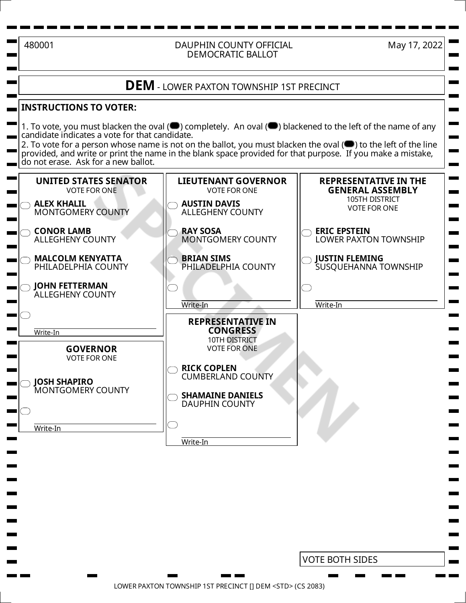## 480001 DAUPHIN COUNTY OFFICIAL DEMOCRATIC BALLOT

May 17, 2022

## **DEM** - LOWER PAXTON TOWNSHIP 1ST PRECINCT

## **INSTRUCTIONS TO VOTER:**

1. To vote, you must blacken the oval ( $\blacksquare$ ) completely. An oval ( $\blacksquare$ ) blackened to the left of the name of any candidate indicates a vote for that candidate.

2. To vote for a person whose name is not on the ballot, you must blacken the oval  $($ **)** to the left of the line provided, and write or print the name in the blank space provided for that purpose. If you make a mistake, do not erase. Ask for a new ballot.